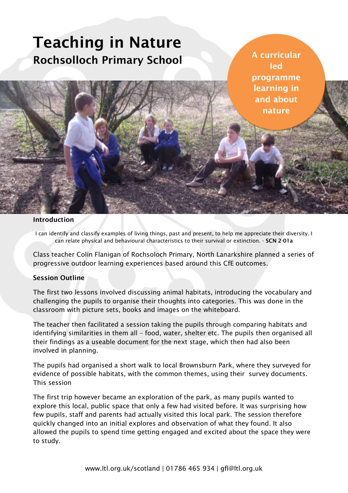# **Teaching in Nature Rochsolloch Primary School**

**A curricular led programme learning in and about nature**

## **Introduction**

ì

I can identify and classify examples of living things, past and present, to help me appreciate their diversity. I can relate physical and behavioural characteristics to their survival or extinction. - **SCN 2-01a**

Class teacher Colin Flanigan of Rochsoloch Primary, North Lanarkshire planned a series of progressive outdoor learning experiences based around this CfE outcomes.

#### **Session Outline**

The first two lessons involved discussing animal habitats, introducing the vocabulary and challenging the pupils to organise their thoughts into categories. This was done in the classroom with picture sets, books and images on the whiteboard.

The teacher then facilitated a session taking the pupils through comparing habitats and identifying similarities in them all – food, water, shelter etc. The pupils then organised all their findings as a useable document for the next stage, which then had also been involved in planning.

The pupils had organised a short walk to local Brownsburn Park, where they surveyed for evidence of possible habitats, with the common themes, using their survey documents. This session

The first trip however became an exploration of the park, as many pupils wanted to explore this local, public space that only a few had visited before. It was surprising how few pupils, staff and parents had actually visited this local park. The session therefore quickly changed into an initial explores and observation of what they found. It also allowed the pupils to spend time getting engaged and excited about the space they were to study.